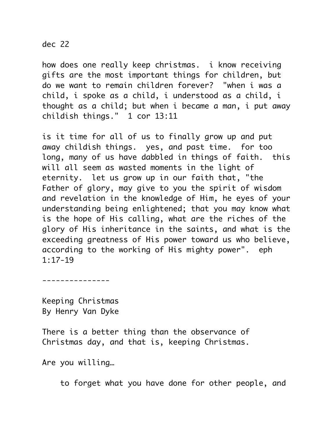## dec 22

how does one really keep christmas. i know receiving gifts are the most important things for children, but do we want to remain children forever? "when i was a child, i spoke as a child, i understood as a child, i thought as a child; but when i became a man, i put away childish things." 1 cor 13:11

is it time for all of us to finally grow up and put away childish things. yes, and past time. for too long, many of us have dabbled in things of faith. this will all seem as wasted moments in the light of eternity. let us grow up in our faith that, "the Father of glory, may give to you the spirit of wisdom and revelation in the knowledge of Him, he eyes of your understanding being enlightened; that you may know what is the hope of His calling, what are the riches of the glory of His inheritance in the saints, and what is the exceeding greatness of His power toward us who believe, according to the working of His mighty power". eph 1:17-19

---------------

Keeping Christmas By Henry Van Dyke

There is a better thing than the observance of Christmas day, and that is, keeping Christmas.

Are you willing…

to forget what you have done for other people, and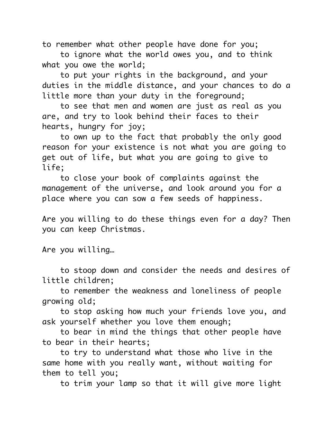to remember what other people have done for you;

 to ignore what the world owes you, and to think what you owe the world;

 to put your rights in the background, and your duties in the middle distance, and your chances to do a little more than your duty in the foreground;

 to see that men and women are just as real as you are, and try to look behind their faces to their hearts, hungry for joy;

 to own up to the fact that probably the only good reason for your existence is not what you are going to get out of life, but what you are going to give to life;

 to close your book of complaints against the management of the universe, and look around you for a place where you can sow a few seeds of happiness.

Are you willing to do these things even for a day? Then you can keep Christmas.

Are you willing…

 to stoop down and consider the needs and desires of little children;

 to remember the weakness and loneliness of people growing old;

 to stop asking how much your friends love you, and ask yourself whether you love them enough;

 to bear in mind the things that other people have to bear in their hearts;

 to try to understand what those who live in the same home with you really want, without waiting for them to tell you;

to trim your lamp so that it will give more light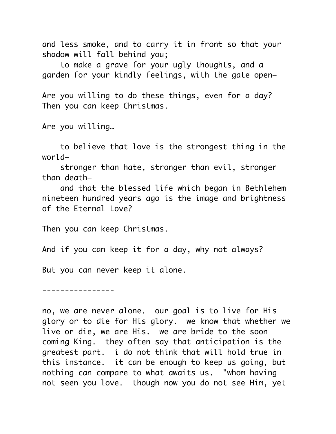and less smoke, and to carry it in front so that your shadow will fall behind you;

 to make a grave for your ugly thoughts, and a garden for your kindly feelings, with the gate open—

Are you willing to do these things, even for a day? Then you can keep Christmas.

Are you willing…

 to believe that love is the strongest thing in the world—

 stronger than hate, stronger than evil, stronger than death—

 and that the blessed life which began in Bethlehem nineteen hundred years ago is the image and brightness of the Eternal Love?

Then you can keep Christmas.

And if you can keep it for a day, why not always?

But you can never keep it alone.

----------------

no, we are never alone. our goal is to live for His glory or to die for His glory. we know that whether we live or die, we are His. we are bride to the soon coming King. they often say that anticipation is the greatest part. i do not think that will hold true in this instance. it can be enough to keep us going, but nothing can compare to what awaits us. "whom having not seen you love. though now you do not see Him, yet